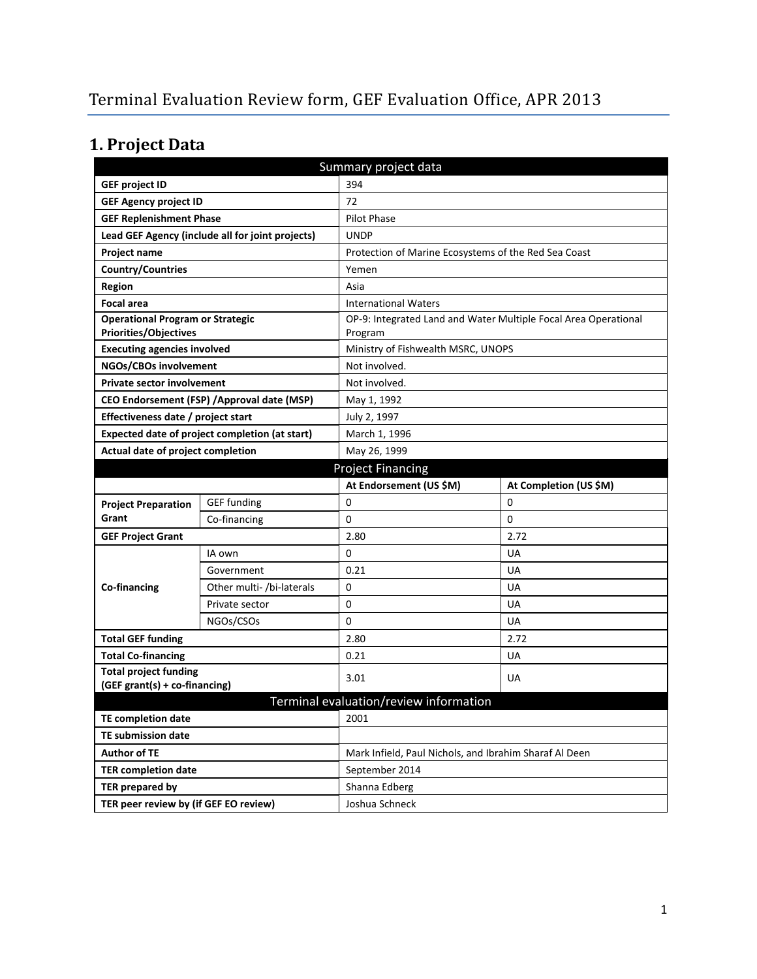# **1. Project Data**

| Summary project data                           |                                                  |                                                        |                                                                 |  |
|------------------------------------------------|--------------------------------------------------|--------------------------------------------------------|-----------------------------------------------------------------|--|
| <b>GEF project ID</b>                          |                                                  | 394                                                    |                                                                 |  |
| <b>GEF Agency project ID</b>                   |                                                  | 72                                                     |                                                                 |  |
| <b>GEF Replenishment Phase</b>                 |                                                  | <b>Pilot Phase</b>                                     |                                                                 |  |
|                                                | Lead GEF Agency (include all for joint projects) | <b>UNDP</b>                                            |                                                                 |  |
| Project name                                   |                                                  | Protection of Marine Ecosystems of the Red Sea Coast   |                                                                 |  |
| <b>Country/Countries</b>                       |                                                  | Yemen                                                  |                                                                 |  |
| <b>Region</b>                                  |                                                  | Asia                                                   |                                                                 |  |
| <b>Focal area</b>                              |                                                  | <b>International Waters</b>                            |                                                                 |  |
| <b>Operational Program or Strategic</b>        |                                                  |                                                        | OP-9: Integrated Land and Water Multiple Focal Area Operational |  |
| <b>Priorities/Objectives</b>                   |                                                  | Program                                                |                                                                 |  |
| <b>Executing agencies involved</b>             |                                                  | Ministry of Fishwealth MSRC, UNOPS                     |                                                                 |  |
| NGOs/CBOs involvement                          |                                                  | Not involved.                                          |                                                                 |  |
| <b>Private sector involvement</b>              |                                                  | Not involved.                                          |                                                                 |  |
|                                                | CEO Endorsement (FSP) / Approval date (MSP)      | May 1, 1992                                            |                                                                 |  |
| Effectiveness date / project start             |                                                  | July 2, 1997                                           |                                                                 |  |
| Expected date of project completion (at start) |                                                  |                                                        | March 1, 1996                                                   |  |
| Actual date of project completion              |                                                  | May 26, 1999                                           |                                                                 |  |
|                                                |                                                  | <b>Project Financing</b>                               |                                                                 |  |
|                                                |                                                  | At Endorsement (US \$M)                                | At Completion (US \$M)                                          |  |
| <b>Project Preparation</b>                     | <b>GEF</b> funding                               | 0                                                      | 0                                                               |  |
| Grant                                          | Co-financing                                     | 0                                                      | 0                                                               |  |
| <b>GEF Project Grant</b>                       |                                                  | 2.80                                                   | 2.72                                                            |  |
|                                                | IA own                                           | 0                                                      | UA                                                              |  |
|                                                | Government                                       | 0.21                                                   | UA                                                              |  |
| Co-financing                                   | Other multi- /bi-laterals                        | 0                                                      | UA                                                              |  |
|                                                | Private sector                                   | 0                                                      | UA                                                              |  |
|                                                | NGOs/CSOs                                        | 0                                                      | <b>UA</b>                                                       |  |
| <b>Total GEF funding</b>                       |                                                  | 2.80                                                   | 2.72                                                            |  |
| <b>Total Co-financing</b>                      |                                                  | 0.21                                                   | <b>UA</b>                                                       |  |
| <b>Total project funding</b>                   |                                                  | 3.01                                                   | <b>UA</b>                                                       |  |
| (GEF grant(s) + co-financing)                  |                                                  |                                                        |                                                                 |  |
|                                                |                                                  | Terminal evaluation/review information                 |                                                                 |  |
| <b>TE completion date</b>                      |                                                  | 2001                                                   |                                                                 |  |
| TE submission date                             |                                                  |                                                        |                                                                 |  |
| <b>Author of TE</b>                            |                                                  | Mark Infield, Paul Nichols, and Ibrahim Sharaf Al Deen |                                                                 |  |
| <b>TER completion date</b>                     |                                                  | September 2014                                         |                                                                 |  |
| TER prepared by                                |                                                  | Shanna Edberg                                          |                                                                 |  |
| TER peer review by (if GEF EO review)          |                                                  | Joshua Schneck                                         |                                                                 |  |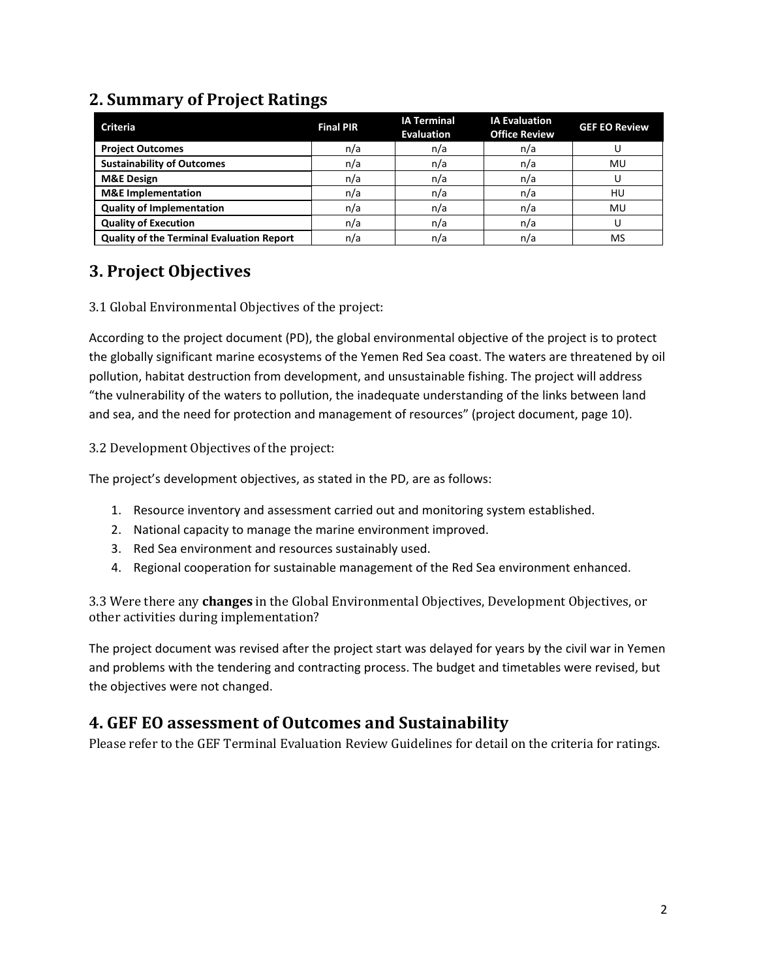# **2. Summary of Project Ratings**

| <b>Criteria</b>                                  | <b>Final PIR</b> | <b>IA Terminal</b><br><b>Evaluation</b> | <b>IA Evaluation</b><br><b>Office Review</b> | <b>GEF EO Review</b> |
|--------------------------------------------------|------------------|-----------------------------------------|----------------------------------------------|----------------------|
| <b>Project Outcomes</b>                          | n/a              | n/a                                     | n/a                                          |                      |
| <b>Sustainability of Outcomes</b>                | n/a              | n/a                                     | n/a                                          | MU                   |
| <b>M&amp;E Design</b>                            | n/a              | n/a                                     | n/a                                          |                      |
| <b>M&amp;E</b> Implementation                    | n/a              | n/a                                     | n/a                                          | HU                   |
| <b>Quality of Implementation</b>                 | n/a              | n/a                                     | n/a                                          | MU                   |
| <b>Quality of Execution</b>                      | n/a              | n/a                                     | n/a                                          |                      |
| <b>Quality of the Terminal Evaluation Report</b> | n/a              | n/a                                     | n/a                                          | MS                   |

# **3. Project Objectives**

## 3.1 Global Environmental Objectives of the project:

According to the project document (PD), the global environmental objective of the project is to protect the globally significant marine ecosystems of the Yemen Red Sea coast. The waters are threatened by oil pollution, habitat destruction from development, and unsustainable fishing. The project will address "the vulnerability of the waters to pollution, the inadequate understanding of the links between land and sea, and the need for protection and management of resources" (project document, page 10).

## 3.2 Development Objectives of the project:

The project's development objectives, as stated in the PD, are as follows:

- 1. Resource inventory and assessment carried out and monitoring system established.
- 2. National capacity to manage the marine environment improved.
- 3. Red Sea environment and resources sustainably used.
- 4. Regional cooperation for sustainable management of the Red Sea environment enhanced.

3.3 Were there any **changes** in the Global Environmental Objectives, Development Objectives, or other activities during implementation?

The project document was revised after the project start was delayed for years by the civil war in Yemen and problems with the tendering and contracting process. The budget and timetables were revised, but the objectives were not changed.

# **4. GEF EO assessment of Outcomes and Sustainability**

Please refer to the GEF Terminal Evaluation Review Guidelines for detail on the criteria for ratings.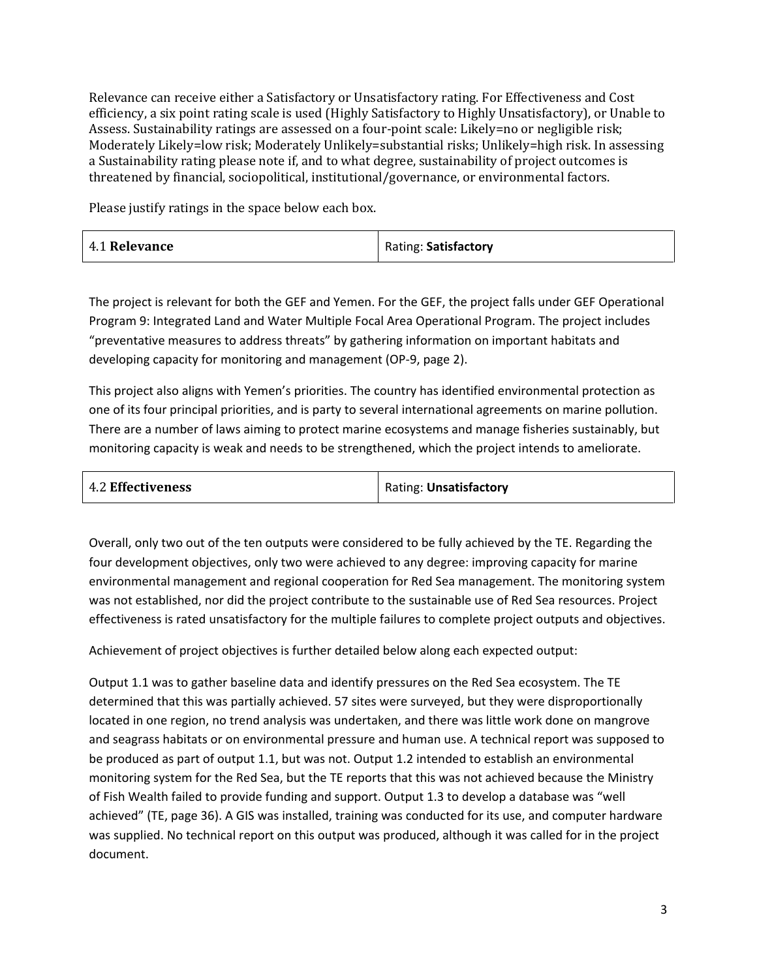Relevance can receive either a Satisfactory or Unsatisfactory rating. For Effectiveness and Cost efficiency, a six point rating scale is used (Highly Satisfactory to Highly Unsatisfactory), or Unable to Assess. Sustainability ratings are assessed on a four-point scale: Likely=no or negligible risk; Moderately Likely=low risk; Moderately Unlikely=substantial risks; Unlikely=high risk. In assessing a Sustainability rating please note if, and to what degree, sustainability of project outcomes is threatened by financial, sociopolitical, institutional/governance, or environmental factors.

Please justify ratings in the space below each box.

| 4.1 Relevance | Rating: Satisfactory |
|---------------|----------------------|
|---------------|----------------------|

The project is relevant for both the GEF and Yemen. For the GEF, the project falls under GEF Operational Program 9: Integrated Land and Water Multiple Focal Area Operational Program. The project includes "preventative measures to address threats" by gathering information on important habitats and developing capacity for monitoring and management (OP-9, page 2).

This project also aligns with Yemen's priorities. The country has identified environmental protection as one of its four principal priorities, and is party to several international agreements on marine pollution. There are a number of laws aiming to protect marine ecosystems and manage fisheries sustainably, but monitoring capacity is weak and needs to be strengthened, which the project intends to ameliorate.

| <b>4.2 Effectiveness</b> | Rating: Unsatisfactory |
|--------------------------|------------------------|
|--------------------------|------------------------|

Overall, only two out of the ten outputs were considered to be fully achieved by the TE. Regarding the four development objectives, only two were achieved to any degree: improving capacity for marine environmental management and regional cooperation for Red Sea management. The monitoring system was not established, nor did the project contribute to the sustainable use of Red Sea resources. Project effectiveness is rated unsatisfactory for the multiple failures to complete project outputs and objectives.

Achievement of project objectives is further detailed below along each expected output:

Output 1.1 was to gather baseline data and identify pressures on the Red Sea ecosystem. The TE determined that this was partially achieved. 57 sites were surveyed, but they were disproportionally located in one region, no trend analysis was undertaken, and there was little work done on mangrove and seagrass habitats or on environmental pressure and human use. A technical report was supposed to be produced as part of output 1.1, but was not. Output 1.2 intended to establish an environmental monitoring system for the Red Sea, but the TE reports that this was not achieved because the Ministry of Fish Wealth failed to provide funding and support. Output 1.3 to develop a database was "well achieved" (TE, page 36). A GIS was installed, training was conducted for its use, and computer hardware was supplied. No technical report on this output was produced, although it was called for in the project document.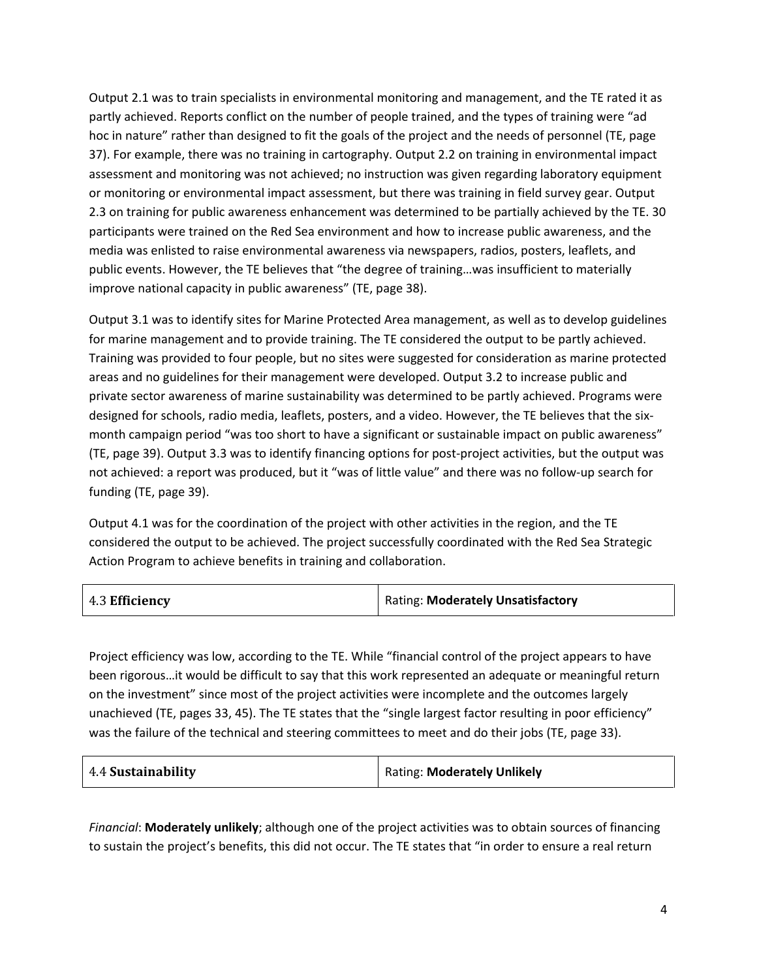Output 2.1 was to train specialists in environmental monitoring and management, and the TE rated it as partly achieved. Reports conflict on the number of people trained, and the types of training were "ad hoc in nature" rather than designed to fit the goals of the project and the needs of personnel (TE, page 37). For example, there was no training in cartography. Output 2.2 on training in environmental impact assessment and monitoring was not achieved; no instruction was given regarding laboratory equipment or monitoring or environmental impact assessment, but there was training in field survey gear. Output 2.3 on training for public awareness enhancement was determined to be partially achieved by the TE. 30 participants were trained on the Red Sea environment and how to increase public awareness, and the media was enlisted to raise environmental awareness via newspapers, radios, posters, leaflets, and public events. However, the TE believes that "the degree of training…was insufficient to materially improve national capacity in public awareness" (TE, page 38).

Output 3.1 was to identify sites for Marine Protected Area management, as well as to develop guidelines for marine management and to provide training. The TE considered the output to be partly achieved. Training was provided to four people, but no sites were suggested for consideration as marine protected areas and no guidelines for their management were developed. Output 3.2 to increase public and private sector awareness of marine sustainability was determined to be partly achieved. Programs were designed for schools, radio media, leaflets, posters, and a video. However, the TE believes that the sixmonth campaign period "was too short to have a significant or sustainable impact on public awareness" (TE, page 39). Output 3.3 was to identify financing options for post-project activities, but the output was not achieved: a report was produced, but it "was of little value" and there was no follow-up search for funding (TE, page 39).

Output 4.1 was for the coordination of the project with other activities in the region, and the TE considered the output to be achieved. The project successfully coordinated with the Red Sea Strategic Action Program to achieve benefits in training and collaboration.

|                | Rating: Moderately Unsatisfactory |
|----------------|-----------------------------------|
| 4.3 Efficiency |                                   |

Project efficiency was low, according to the TE. While "financial control of the project appears to have been rigorous…it would be difficult to say that this work represented an adequate or meaningful return on the investment" since most of the project activities were incomplete and the outcomes largely unachieved (TE, pages 33, 45). The TE states that the "single largest factor resulting in poor efficiency" was the failure of the technical and steering committees to meet and do their jobs (TE, page 33).

| 4.4 Sustainability | <b>Rating: Moderately Unlikely</b> |
|--------------------|------------------------------------|
|                    |                                    |

*Financial*: **Moderately unlikely**; although one of the project activities was to obtain sources of financing to sustain the project's benefits, this did not occur. The TE states that "in order to ensure a real return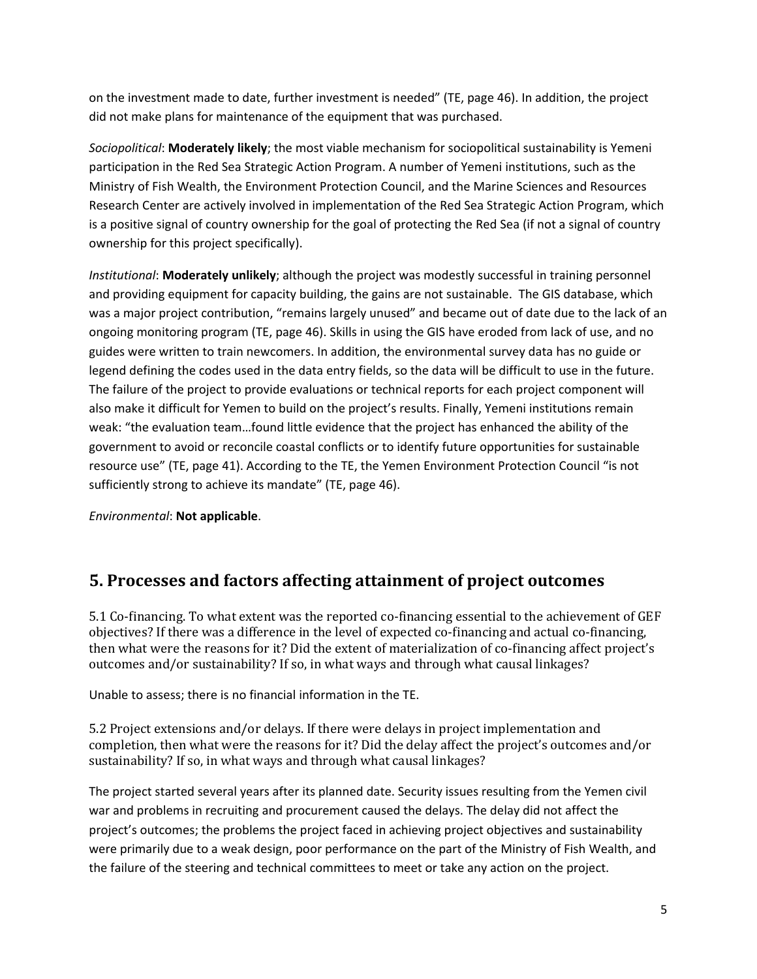on the investment made to date, further investment is needed" (TE, page 46). In addition, the project did not make plans for maintenance of the equipment that was purchased.

*Sociopolitical*: **Moderately likely**; the most viable mechanism for sociopolitical sustainability is Yemeni participation in the Red Sea Strategic Action Program. A number of Yemeni institutions, such as the Ministry of Fish Wealth, the Environment Protection Council, and the Marine Sciences and Resources Research Center are actively involved in implementation of the Red Sea Strategic Action Program, which is a positive signal of country ownership for the goal of protecting the Red Sea (if not a signal of country ownership for this project specifically).

*Institutional*: **Moderately unlikely**; although the project was modestly successful in training personnel and providing equipment for capacity building, the gains are not sustainable. The GIS database, which was a major project contribution, "remains largely unused" and became out of date due to the lack of an ongoing monitoring program (TE, page 46). Skills in using the GIS have eroded from lack of use, and no guides were written to train newcomers. In addition, the environmental survey data has no guide or legend defining the codes used in the data entry fields, so the data will be difficult to use in the future. The failure of the project to provide evaluations or technical reports for each project component will also make it difficult for Yemen to build on the project's results. Finally, Yemeni institutions remain weak: "the evaluation team…found little evidence that the project has enhanced the ability of the government to avoid or reconcile coastal conflicts or to identify future opportunities for sustainable resource use" (TE, page 41). According to the TE, the Yemen Environment Protection Council "is not sufficiently strong to achieve its mandate" (TE, page 46).

*Environmental*: **Not applicable**.

# **5. Processes and factors affecting attainment of project outcomes**

5.1 Co-financing. To what extent was the reported co-financing essential to the achievement of GEF objectives? If there was a difference in the level of expected co-financing and actual co-financing, then what were the reasons for it? Did the extent of materialization of co-financing affect project's outcomes and/or sustainability? If so, in what ways and through what causal linkages?

Unable to assess; there is no financial information in the TE.

5.2 Project extensions and/or delays. If there were delays in project implementation and completion, then what were the reasons for it? Did the delay affect the project's outcomes and/or sustainability? If so, in what ways and through what causal linkages?

The project started several years after its planned date. Security issues resulting from the Yemen civil war and problems in recruiting and procurement caused the delays. The delay did not affect the project's outcomes; the problems the project faced in achieving project objectives and sustainability were primarily due to a weak design, poor performance on the part of the Ministry of Fish Wealth, and the failure of the steering and technical committees to meet or take any action on the project.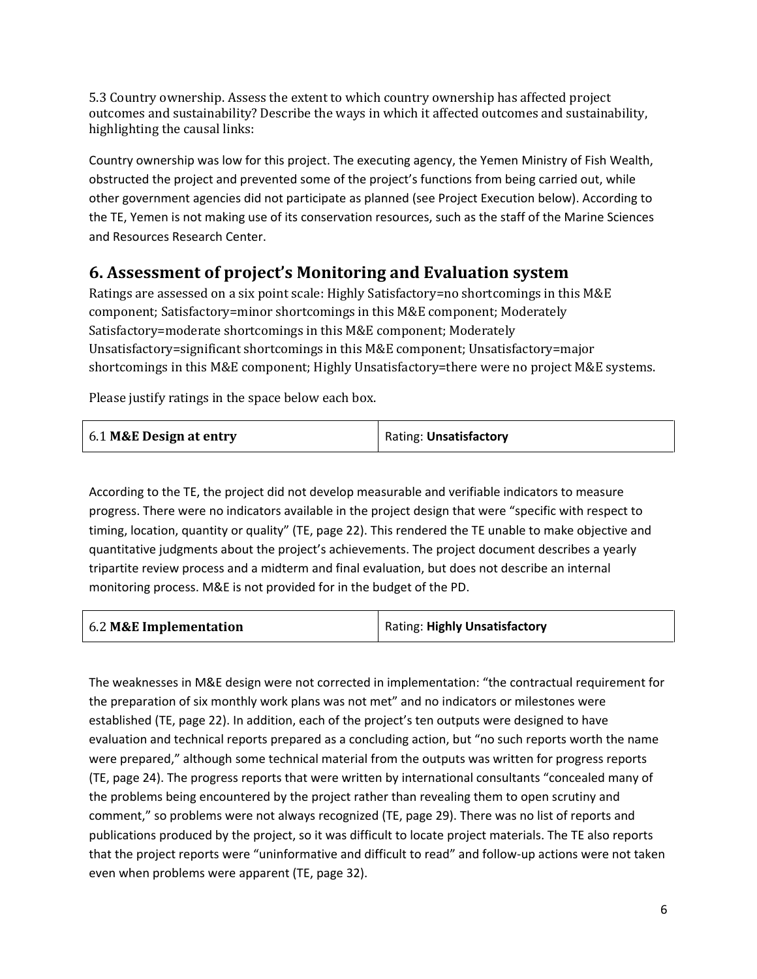5.3 Country ownership. Assess the extent to which country ownership has affected project outcomes and sustainability? Describe the ways in which it affected outcomes and sustainability, highlighting the causal links:

Country ownership was low for this project. The executing agency, the Yemen Ministry of Fish Wealth, obstructed the project and prevented some of the project's functions from being carried out, while other government agencies did not participate as planned (see Project Execution below). According to the TE, Yemen is not making use of its conservation resources, such as the staff of the Marine Sciences and Resources Research Center.

# **6. Assessment of project's Monitoring and Evaluation system**

Ratings are assessed on a six point scale: Highly Satisfactory=no shortcomings in this M&E component; Satisfactory=minor shortcomings in this M&E component; Moderately Satisfactory=moderate shortcomings in this M&E component; Moderately Unsatisfactory=significant shortcomings in this M&E component; Unsatisfactory=major shortcomings in this M&E component; Highly Unsatisfactory=there were no project M&E systems.

Please justify ratings in the space below each box.

| 6.1 M&E Design at entry | Rating: Unsatisfactory |
|-------------------------|------------------------|
|                         |                        |

According to the TE, the project did not develop measurable and verifiable indicators to measure progress. There were no indicators available in the project design that were "specific with respect to timing, location, quantity or quality" (TE, page 22). This rendered the TE unable to make objective and quantitative judgments about the project's achievements. The project document describes a yearly tripartite review process and a midterm and final evaluation, but does not describe an internal monitoring process. M&E is not provided for in the budget of the PD.

| 6.2 M&E Implementation | Rating: Highly Unsatisfactory |
|------------------------|-------------------------------|
|                        |                               |

The weaknesses in M&E design were not corrected in implementation: "the contractual requirement for the preparation of six monthly work plans was not met" and no indicators or milestones were established (TE, page 22). In addition, each of the project's ten outputs were designed to have evaluation and technical reports prepared as a concluding action, but "no such reports worth the name were prepared," although some technical material from the outputs was written for progress reports (TE, page 24). The progress reports that were written by international consultants "concealed many of the problems being encountered by the project rather than revealing them to open scrutiny and comment," so problems were not always recognized (TE, page 29). There was no list of reports and publications produced by the project, so it was difficult to locate project materials. The TE also reports that the project reports were "uninformative and difficult to read" and follow-up actions were not taken even when problems were apparent (TE, page 32).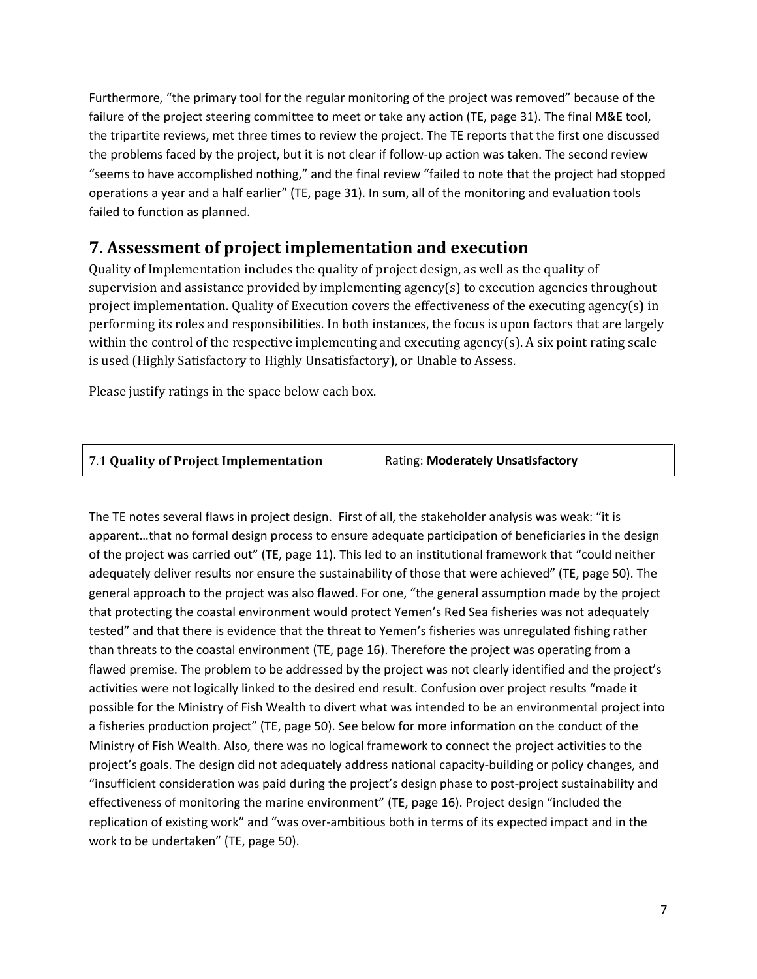Furthermore, "the primary tool for the regular monitoring of the project was removed" because of the failure of the project steering committee to meet or take any action (TE, page 31). The final M&E tool, the tripartite reviews, met three times to review the project. The TE reports that the first one discussed the problems faced by the project, but it is not clear if follow-up action was taken. The second review "seems to have accomplished nothing," and the final review "failed to note that the project had stopped operations a year and a half earlier" (TE, page 31). In sum, all of the monitoring and evaluation tools failed to function as planned.

## **7. Assessment of project implementation and execution**

Quality of Implementation includes the quality of project design, as well as the quality of supervision and assistance provided by implementing agency(s) to execution agencies throughout project implementation. Quality of Execution covers the effectiveness of the executing agency(s) in performing its roles and responsibilities. In both instances, the focus is upon factors that are largely within the control of the respective implementing and executing agency(s). A six point rating scale is used (Highly Satisfactory to Highly Unsatisfactory), or Unable to Assess.

Please justify ratings in the space below each box.

| 7.1 Quality of Project Implementation | <b>Rating: Moderately Unsatisfactory</b> |
|---------------------------------------|------------------------------------------|
|---------------------------------------|------------------------------------------|

The TE notes several flaws in project design. First of all, the stakeholder analysis was weak: "it is apparent…that no formal design process to ensure adequate participation of beneficiaries in the design of the project was carried out" (TE, page 11). This led to an institutional framework that "could neither adequately deliver results nor ensure the sustainability of those that were achieved" (TE, page 50). The general approach to the project was also flawed. For one, "the general assumption made by the project that protecting the coastal environment would protect Yemen's Red Sea fisheries was not adequately tested" and that there is evidence that the threat to Yemen's fisheries was unregulated fishing rather than threats to the coastal environment (TE, page 16). Therefore the project was operating from a flawed premise. The problem to be addressed by the project was not clearly identified and the project's activities were not logically linked to the desired end result. Confusion over project results "made it possible for the Ministry of Fish Wealth to divert what was intended to be an environmental project into a fisheries production project" (TE, page 50). See below for more information on the conduct of the Ministry of Fish Wealth. Also, there was no logical framework to connect the project activities to the project's goals. The design did not adequately address national capacity-building or policy changes, and "insufficient consideration was paid during the project's design phase to post-project sustainability and effectiveness of monitoring the marine environment" (TE, page 16). Project design "included the replication of existing work" and "was over-ambitious both in terms of its expected impact and in the work to be undertaken" (TE, page 50).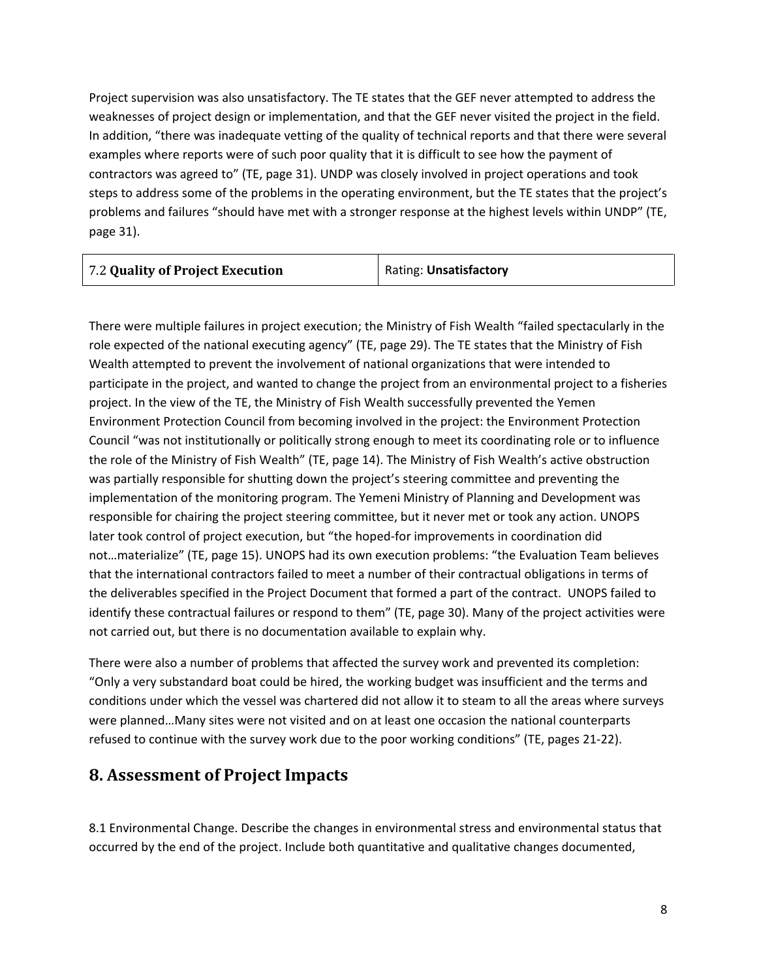Project supervision was also unsatisfactory. The TE states that the GEF never attempted to address the weaknesses of project design or implementation, and that the GEF never visited the project in the field. In addition, "there was inadequate vetting of the quality of technical reports and that there were several examples where reports were of such poor quality that it is difficult to see how the payment of contractors was agreed to" (TE, page 31). UNDP was closely involved in project operations and took steps to address some of the problems in the operating environment, but the TE states that the project's problems and failures "should have met with a stronger response at the highest levels within UNDP" (TE, page 31).

| 7.2 Quality of Project Execution | Rating: Unsatisfactory |
|----------------------------------|------------------------|
|                                  |                        |

There were multiple failures in project execution; the Ministry of Fish Wealth "failed spectacularly in the role expected of the national executing agency" (TE, page 29). The TE states that the Ministry of Fish Wealth attempted to prevent the involvement of national organizations that were intended to participate in the project, and wanted to change the project from an environmental project to a fisheries project. In the view of the TE, the Ministry of Fish Wealth successfully prevented the Yemen Environment Protection Council from becoming involved in the project: the Environment Protection Council "was not institutionally or politically strong enough to meet its coordinating role or to influence the role of the Ministry of Fish Wealth" (TE, page 14). The Ministry of Fish Wealth's active obstruction was partially responsible for shutting down the project's steering committee and preventing the implementation of the monitoring program. The Yemeni Ministry of Planning and Development was responsible for chairing the project steering committee, but it never met or took any action. UNOPS later took control of project execution, but "the hoped-for improvements in coordination did not…materialize" (TE, page 15). UNOPS had its own execution problems: "the Evaluation Team believes that the international contractors failed to meet a number of their contractual obligations in terms of the deliverables specified in the Project Document that formed a part of the contract. UNOPS failed to identify these contractual failures or respond to them" (TE, page 30). Many of the project activities were not carried out, but there is no documentation available to explain why.

There were also a number of problems that affected the survey work and prevented its completion: "Only a very substandard boat could be hired, the working budget was insufficient and the terms and conditions under which the vessel was chartered did not allow it to steam to all the areas where surveys were planned…Many sites were not visited and on at least one occasion the national counterparts refused to continue with the survey work due to the poor working conditions" (TE, pages 21-22).

# **8. Assessment of Project Impacts**

8.1 Environmental Change. Describe the changes in environmental stress and environmental status that occurred by the end of the project. Include both quantitative and qualitative changes documented,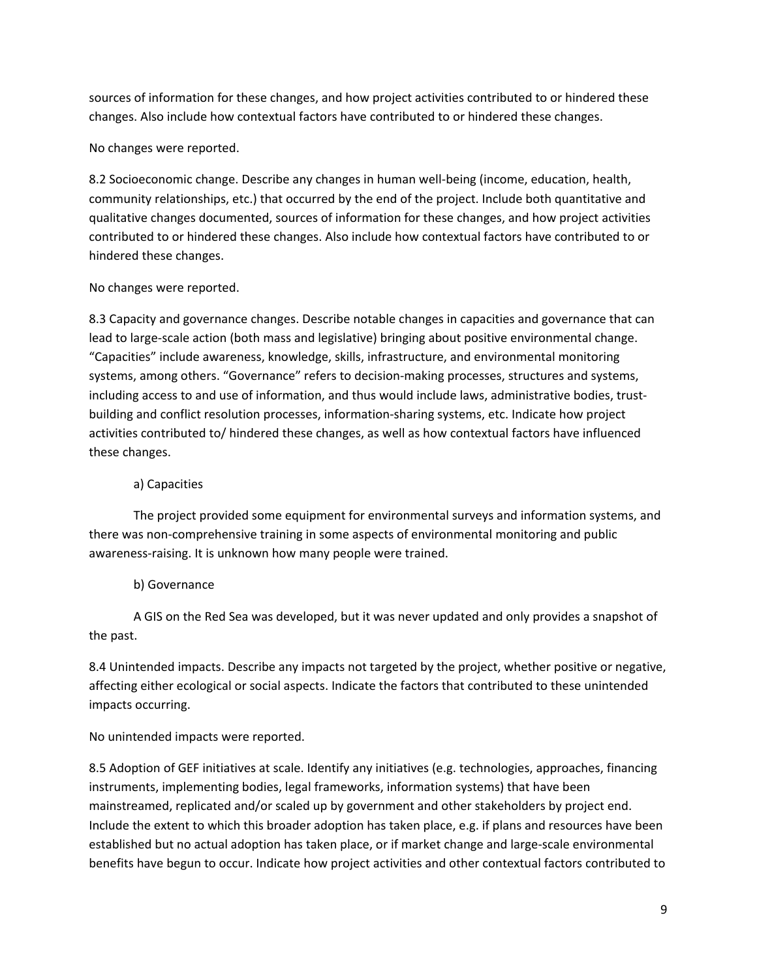sources of information for these changes, and how project activities contributed to or hindered these changes. Also include how contextual factors have contributed to or hindered these changes.

No changes were reported.

8.2 Socioeconomic change. Describe any changes in human well-being (income, education, health, community relationships, etc.) that occurred by the end of the project. Include both quantitative and qualitative changes documented, sources of information for these changes, and how project activities contributed to or hindered these changes. Also include how contextual factors have contributed to or hindered these changes.

## No changes were reported.

8.3 Capacity and governance changes. Describe notable changes in capacities and governance that can lead to large-scale action (both mass and legislative) bringing about positive environmental change. "Capacities" include awareness, knowledge, skills, infrastructure, and environmental monitoring systems, among others. "Governance" refers to decision-making processes, structures and systems, including access to and use of information, and thus would include laws, administrative bodies, trustbuilding and conflict resolution processes, information-sharing systems, etc. Indicate how project activities contributed to/ hindered these changes, as well as how contextual factors have influenced these changes.

## a) Capacities

The project provided some equipment for environmental surveys and information systems, and there was non-comprehensive training in some aspects of environmental monitoring and public awareness-raising. It is unknown how many people were trained.

## b) Governance

A GIS on the Red Sea was developed, but it was never updated and only provides a snapshot of the past.

8.4 Unintended impacts. Describe any impacts not targeted by the project, whether positive or negative, affecting either ecological or social aspects. Indicate the factors that contributed to these unintended impacts occurring.

No unintended impacts were reported.

8.5 Adoption of GEF initiatives at scale. Identify any initiatives (e.g. technologies, approaches, financing instruments, implementing bodies, legal frameworks, information systems) that have been mainstreamed, replicated and/or scaled up by government and other stakeholders by project end. Include the extent to which this broader adoption has taken place, e.g. if plans and resources have been established but no actual adoption has taken place, or if market change and large-scale environmental benefits have begun to occur. Indicate how project activities and other contextual factors contributed to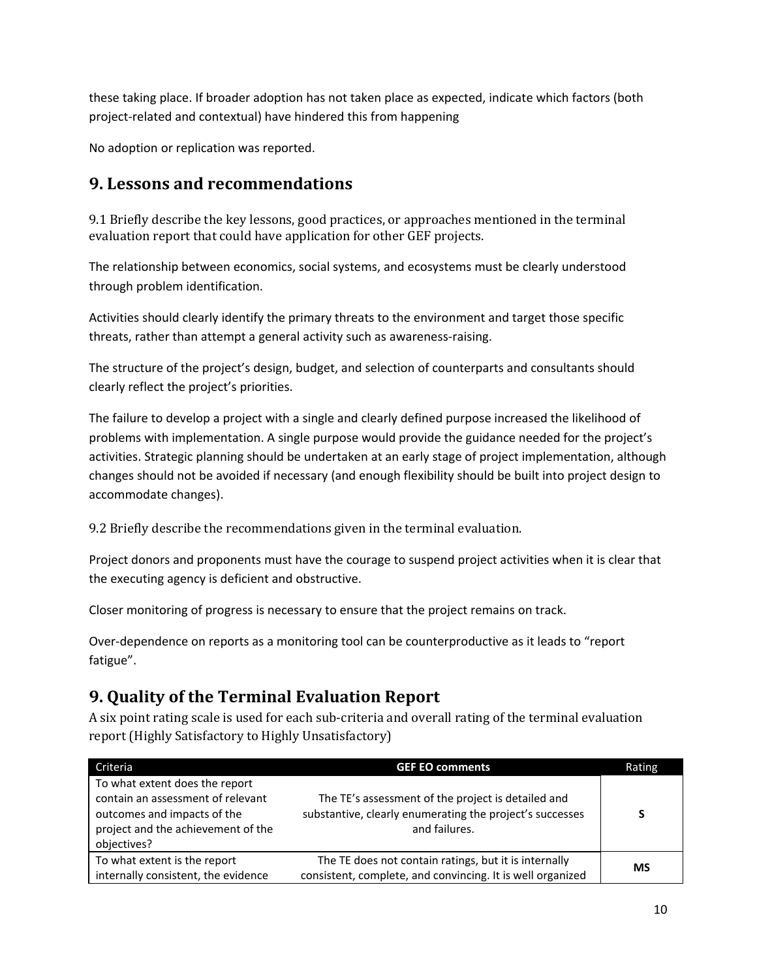these taking place. If broader adoption has not taken place as expected, indicate which factors (both project-related and contextual) have hindered this from happening

No adoption or replication was reported.

## **9. Lessons and recommendations**

9.1 Briefly describe the key lessons, good practices, or approaches mentioned in the terminal evaluation report that could have application for other GEF projects.

The relationship between economics, social systems, and ecosystems must be clearly understood through problem identification.

Activities should clearly identify the primary threats to the environment and target those specific threats, rather than attempt a general activity such as awareness-raising.

The structure of the project's design, budget, and selection of counterparts and consultants should clearly reflect the project's priorities.

The failure to develop a project with a single and clearly defined purpose increased the likelihood of problems with implementation. A single purpose would provide the guidance needed for the project's activities. Strategic planning should be undertaken at an early stage of project implementation, although changes should not be avoided if necessary (and enough flexibility should be built into project design to accommodate changes).

9.2 Briefly describe the recommendations given in the terminal evaluation.

Project donors and proponents must have the courage to suspend project activities when it is clear that the executing agency is deficient and obstructive.

Closer monitoring of progress is necessary to ensure that the project remains on track.

Over-dependence on reports as a monitoring tool can be counterproductive as it leads to "report fatigue".

# **9. Quality of the Terminal Evaluation Report**

A six point rating scale is used for each sub-criteria and overall rating of the terminal evaluation report (Highly Satisfactory to Highly Unsatisfactory)

| Criteria                                                                                                                                                | <b>GEF EO comments</b>                                                                                                          | Rating |
|---------------------------------------------------------------------------------------------------------------------------------------------------------|---------------------------------------------------------------------------------------------------------------------------------|--------|
| To what extent does the report<br>contain an assessment of relevant<br>outcomes and impacts of the<br>project and the achievement of the<br>objectives? | The TE's assessment of the project is detailed and<br>substantive, clearly enumerating the project's successes<br>and failures. | S      |
| To what extent is the report<br>internally consistent, the evidence                                                                                     | The TE does not contain ratings, but it is internally<br>consistent, complete, and convincing. It is well organized             | ΜS     |